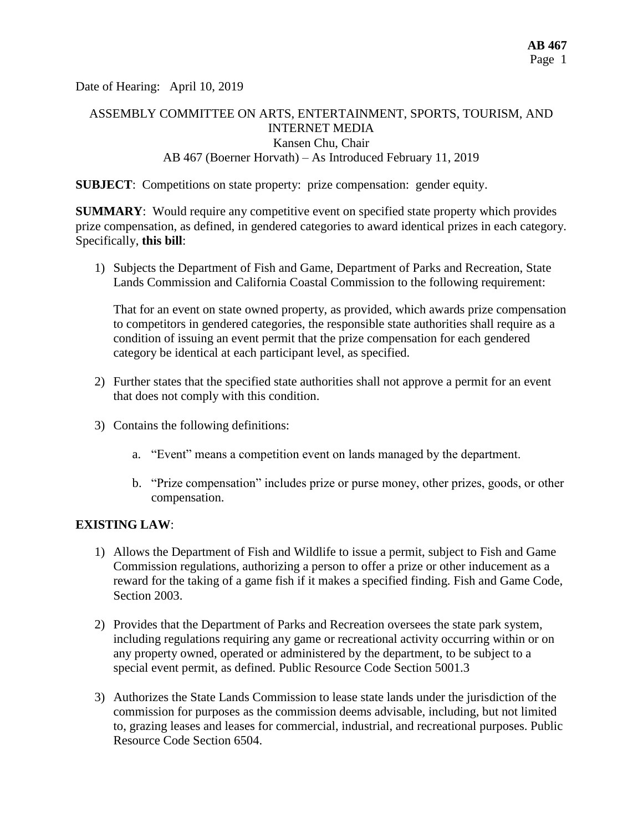Date of Hearing: April 10, 2019

# ASSEMBLY COMMITTEE ON ARTS, ENTERTAINMENT, SPORTS, TOURISM, AND INTERNET MEDIA Kansen Chu, Chair AB 467 (Boerner Horvath) – As Introduced February 11, 2019

**SUBJECT:** Competitions on state property: prize compensation: gender equity.

**SUMMARY:** Would require any competitive event on specified state property which provides prize compensation, as defined, in gendered categories to award identical prizes in each category. Specifically, **this bill**:

1) Subjects the Department of Fish and Game, Department of Parks and Recreation, State Lands Commission and California Coastal Commission to the following requirement:

That for an event on state owned property, as provided, which awards prize compensation to competitors in gendered categories, the responsible state authorities shall require as a condition of issuing an event permit that the prize compensation for each gendered category be identical at each participant level, as specified.

- 2) Further states that the specified state authorities shall not approve a permit for an event that does not comply with this condition.
- 3) Contains the following definitions:
	- a. "Event" means a competition event on lands managed by the department.
	- b. "Prize compensation" includes prize or purse money, other prizes, goods, or other compensation.

## **EXISTING LAW**:

- 1) Allows the Department of Fish and Wildlife to issue a permit, subject to Fish and Game Commission regulations, authorizing a person to offer a prize or other inducement as a reward for the taking of a game fish if it makes a specified finding. Fish and Game Code, Section 2003.
- 2) Provides that the Department of Parks and Recreation oversees the state park system, including regulations requiring any game or recreational activity occurring within or on any property owned, operated or administered by the department, to be subject to a special event permit, as defined. Public Resource Code Section 5001.3
- 3) Authorizes the State Lands Commission to lease state lands under the jurisdiction of the commission for purposes as the commission deems advisable, including, but not limited to, grazing leases and leases for commercial, industrial, and recreational purposes. Public Resource Code Section 6504.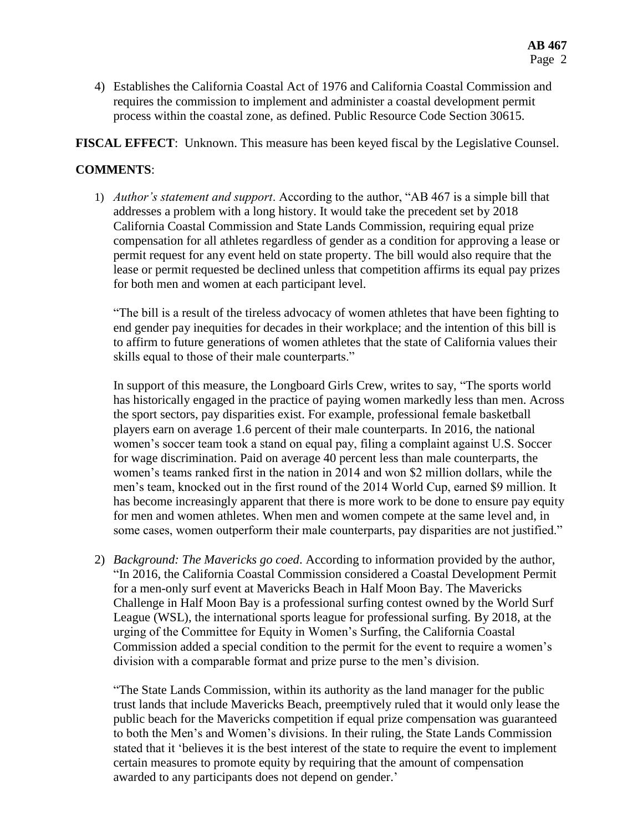4) Establishes the California Coastal Act of 1976 and California Coastal Commission and requires the commission to implement and administer a coastal development permit process within the coastal zone, as defined. Public Resource Code Section 30615.

**FISCAL EFFECT**: Unknown. This measure has been keyed fiscal by the Legislative Counsel.

### **COMMENTS**:

1) *Author's statement and support*. According to the author, "AB 467 is a simple bill that addresses a problem with a long history. It would take the precedent set by 2018 California Coastal Commission and State Lands Commission, requiring equal prize compensation for all athletes regardless of gender as a condition for approving a lease or permit request for any event held on state property. The bill would also require that the lease or permit requested be declined unless that competition affirms its equal pay prizes for both men and women at each participant level.

"The bill is a result of the tireless advocacy of women athletes that have been fighting to end gender pay inequities for decades in their workplace; and the intention of this bill is to affirm to future generations of women athletes that the state of California values their skills equal to those of their male counterparts."

In support of this measure, the Longboard Girls Crew, writes to say, "The sports world has historically engaged in the practice of paying women markedly less than men. Across the sport sectors, pay disparities exist. For example, professional female basketball players earn on average 1.6 percent of their male counterparts. In 2016, the national women's soccer team took a stand on equal pay, filing a complaint against U.S. Soccer for wage discrimination. Paid on average 40 percent less than male counterparts, the women's teams ranked first in the nation in 2014 and won \$2 million dollars, while the men's team, knocked out in the first round of the 2014 World Cup, earned \$9 million. It has become increasingly apparent that there is more work to be done to ensure pay equity for men and women athletes. When men and women compete at the same level and, in some cases, women outperform their male counterparts, pay disparities are not justified."

2) *Background: The Mavericks go coed*. According to information provided by the author, "In 2016, the California Coastal Commission considered a Coastal Development Permit for a men-only surf event at Mavericks Beach in Half Moon Bay. The Mavericks Challenge in Half Moon Bay is a professional surfing contest owned by the World Surf League (WSL), the international sports league for professional surfing. By 2018, at the urging of the Committee for Equity in Women's Surfing, the California Coastal Commission added a special condition to the permit for the event to require a women's division with a comparable format and prize purse to the men's division.

"The State Lands Commission, within its authority as the land manager for the public trust lands that include Mavericks Beach, preemptively ruled that it would only lease the public beach for the Mavericks competition if equal prize compensation was guaranteed to both the Men's and Women's divisions. In their ruling, the State Lands Commission stated that it 'believes it is the best interest of the state to require the event to implement certain measures to promote equity by requiring that the amount of compensation awarded to any participants does not depend on gender.'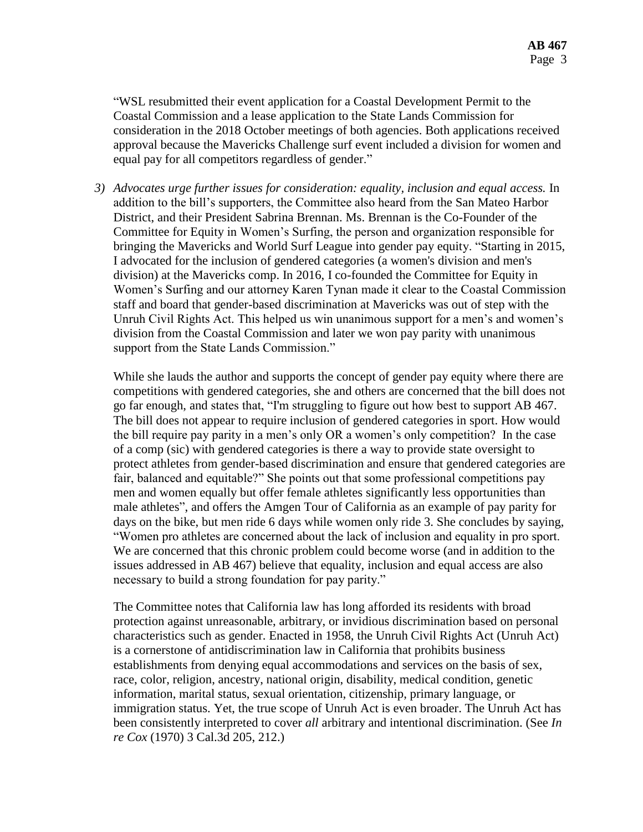"WSL resubmitted their event application for a Coastal Development Permit to the Coastal Commission and a lease application to the State Lands Commission for consideration in the 2018 October meetings of both agencies. Both applications received approval because the Mavericks Challenge surf event included a division for women and equal pay for all competitors regardless of gender."

*3) Advocates urge further issues for consideration: equality, inclusion and equal access.* In addition to the bill's supporters, the Committee also heard from the San Mateo Harbor District, and their President Sabrina Brennan. Ms. Brennan is the Co-Founder of the Committee for Equity in Women's Surfing, the person and organization responsible for bringing the Mavericks and World Surf League into gender pay equity. "Starting in 2015, I advocated for the inclusion of gendered categories (a women's division and men's division) at the Mavericks comp. In 2016, I co-founded the Committee for Equity in Women's Surfing and our attorney Karen Tynan made it clear to the Coastal Commission staff and board that gender-based discrimination at Mavericks was out of step with the Unruh Civil Rights Act. This helped us win unanimous support for a men's and women's division from the Coastal Commission and later we won pay parity with unanimous support from the State Lands Commission."

While she lauds the author and supports the concept of gender pay equity where there are competitions with gendered categories, she and others are concerned that the bill does not go far enough, and states that, "I'm struggling to figure out how best to support AB 467. The bill does not appear to require inclusion of gendered categories in sport. How would the bill require pay parity in a men's only OR a women's only competition? In the case of a comp (sic) with gendered categories is there a way to provide state oversight to protect athletes from gender-based discrimination and ensure that gendered categories are fair, balanced and equitable?" She points out that some professional competitions pay men and women equally but offer female athletes significantly less opportunities than male athletes", and offers the Amgen Tour of California as an example of pay parity for days on the bike, but men ride 6 days while women only ride 3. She concludes by saying, "Women pro athletes are concerned about the lack of inclusion and equality in pro sport. We are concerned that this chronic problem could become worse (and in addition to the issues addressed in AB 467) believe that equality, inclusion and equal access are also necessary to build a strong foundation for pay parity."

The Committee notes that California law has long afforded its residents with broad protection against unreasonable, arbitrary, or invidious discrimination based on personal characteristics such as gender. Enacted in 1958, the Unruh Civil Rights Act (Unruh Act) is a cornerstone of antidiscrimination law in California that prohibits business establishments from denying equal accommodations and services on the basis of sex, race, color, religion, ancestry, national origin, disability, medical condition, genetic information, marital status, sexual orientation, citizenship, primary language, or immigration status. Yet, the true scope of Unruh Act is even broader. The Unruh Act has been consistently interpreted to cover *all* arbitrary and intentional discrimination. (See *In re Cox* (1970) 3 Cal.3d 205, 212.)